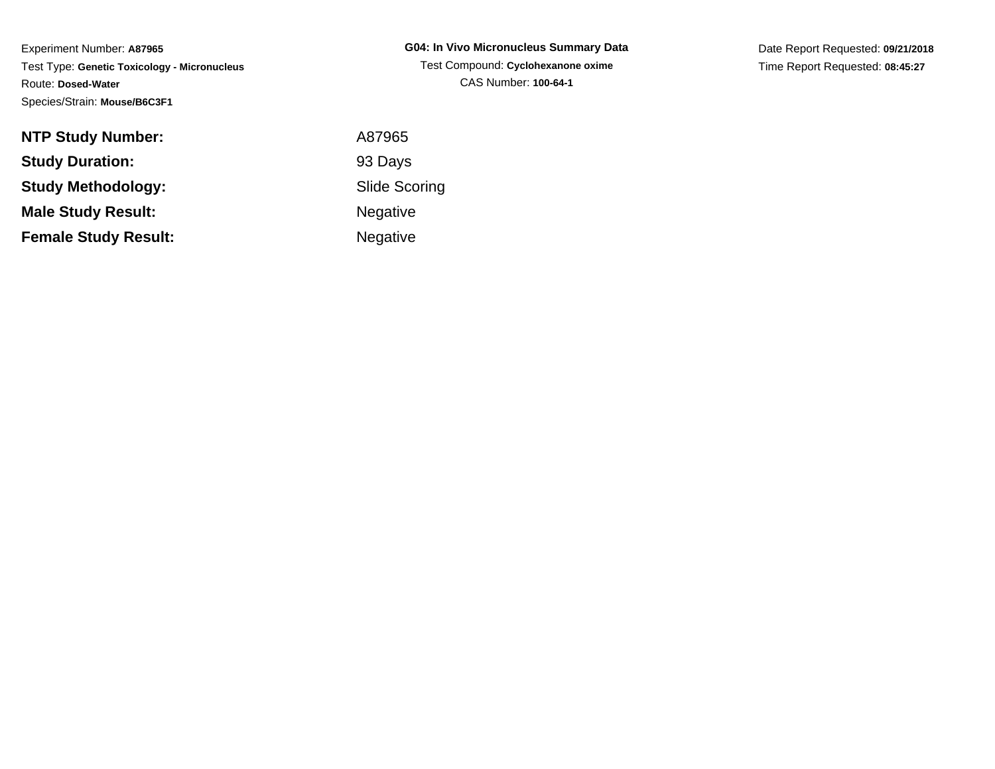| <b>NTP Study Number:</b>    | A87965               |
|-----------------------------|----------------------|
| <b>Study Duration:</b>      | 93 Days              |
| <b>Study Methodology:</b>   | <b>Slide Scoring</b> |
| <b>Male Study Result:</b>   | <b>Negative</b>      |
| <b>Female Study Result:</b> | Negative             |

**G04: In Vivo Micronucleus Summary Data**Test Compound: **Cyclohexanone oxime**CAS Number: **100-64-1**

Date Report Requested: **09/21/2018**Time Report Requested: **08:45:27**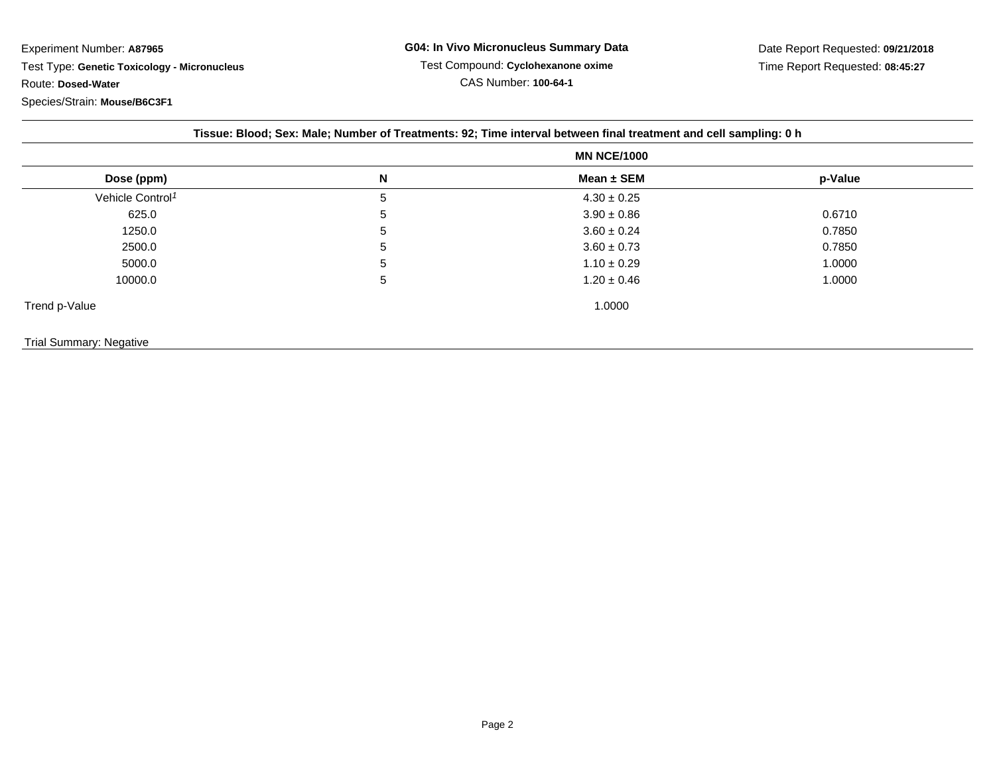| Tissue: Blood; Sex: Male; Number of Treatments: 92; Time interval between final treatment and cell sampling: 0 h |
|------------------------------------------------------------------------------------------------------------------|
|------------------------------------------------------------------------------------------------------------------|

|                              | <b>MN NCE/1000</b> |                 |         |  |
|------------------------------|--------------------|-----------------|---------|--|
| Dose (ppm)                   | N                  | Mean ± SEM      | p-Value |  |
| Vehicle Control <sup>1</sup> | 5                  | $4.30 \pm 0.25$ |         |  |
| 625.0                        | 5                  | $3.90 \pm 0.86$ | 0.6710  |  |
| 1250.0                       | 5                  | $3.60 \pm 0.24$ | 0.7850  |  |
| 2500.0                       | 5                  | $3.60 \pm 0.73$ | 0.7850  |  |
| 5000.0                       | 5                  | $1.10 \pm 0.29$ | 1.0000  |  |
| 10000.0                      | 5                  | $1.20 \pm 0.46$ | 1.0000  |  |
| Trend p-Value                |                    | 1.0000          |         |  |

## Trial Summary: Negative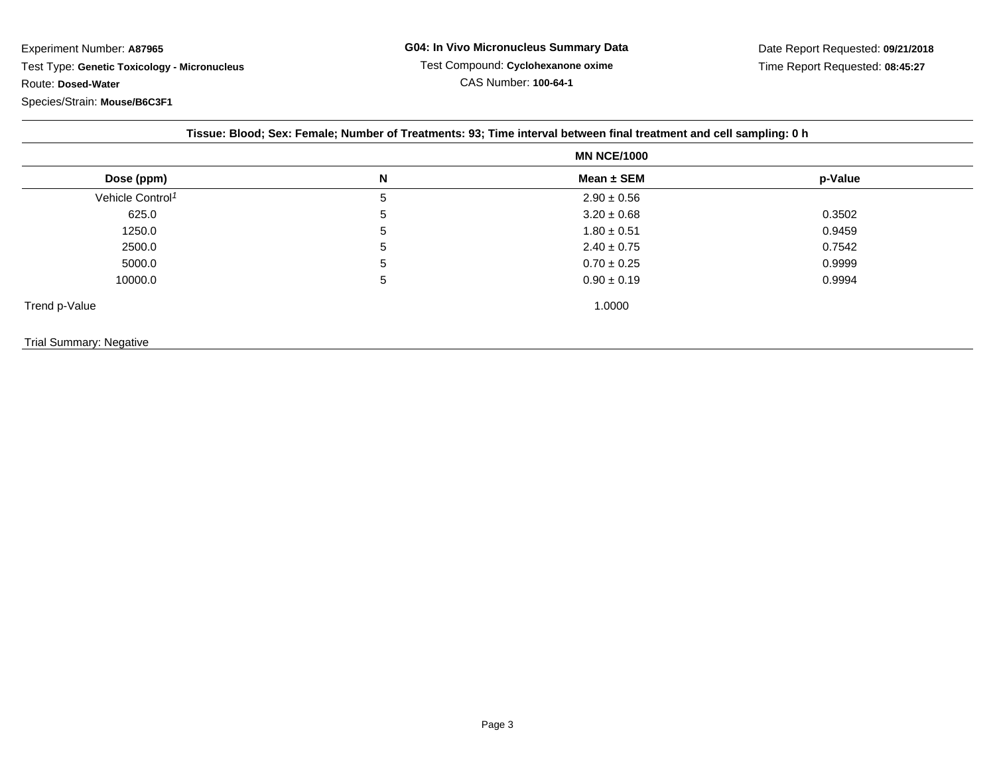| Tissue: Blood; Sex: Female; Number of Treatments: 93; Time interval between final treatment and cell sampling: 0 h |                    |                 |         |  |  |
|--------------------------------------------------------------------------------------------------------------------|--------------------|-----------------|---------|--|--|
|                                                                                                                    | <b>MN NCE/1000</b> |                 |         |  |  |
| Dose (ppm)                                                                                                         | N                  | Mean $\pm$ SEM  | p-Value |  |  |
| Vehicle Control <sup>1</sup>                                                                                       | 5                  | $2.90 \pm 0.56$ |         |  |  |
| 625.0                                                                                                              | 5                  | $3.20 \pm 0.68$ | 0.3502  |  |  |
| 1250.0                                                                                                             | 5                  | $1.80 \pm 0.51$ | 0.9459  |  |  |
| 2500.0                                                                                                             | 5                  | $2.40 \pm 0.75$ | 0.7542  |  |  |
| 5000.0                                                                                                             | 5                  | $0.70 \pm 0.25$ | 0.9999  |  |  |
| 10000.0                                                                                                            | 5                  | $0.90 \pm 0.19$ | 0.9994  |  |  |
| Trend p-Value                                                                                                      |                    | 1.0000          |         |  |  |
| <b>Trial Summary: Negative</b>                                                                                     |                    |                 |         |  |  |